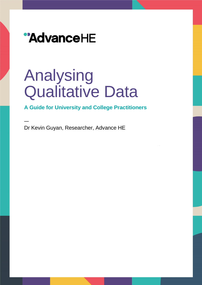

# Analysing Qualitative Data

### **A Guide for University and College Practitioners**

Dr Kevin Guyan, Researcher, Advance HE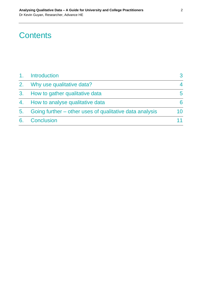### **Contents**

| 1 <sub>1</sub> | Introduction                                            |    |
|----------------|---------------------------------------------------------|----|
| 2.             | Why use qualitative data?                               |    |
| 3.             | How to gather qualitative data                          | 5. |
|                | 4. How to analyse qualitative data                      |    |
| 5.             | Going further – other uses of qualitative data analysis |    |
| 6.             | Conclusion                                              |    |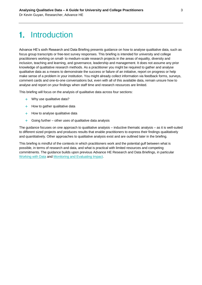## 1. Introduction

Advance HE's sixth Research and Data Briefing presents guidance on how to analyse qualitative data, such as focus group transcripts or free-text survey responses. This briefing is intended for university and college practitioners working on small- to medium-scale research projects in the areas of equality, diversity and inclusion, teaching and learning, and governance, leadership and management. It does not assume any prior knowledge of qualitative research methods. As a practitioner you might be required to gather and analyse qualitative data as a means to demonstrate the success or failure of an initiative, report on progress or help make sense of a problem in your institution. You might already collect information via feedback forms, surveys, comment cards and one-to-one conversations but, even with all of this available data, remain unsure how to analyse and report on your findings when staff time and research resources are limited.

This briefing will focus on the analysis of qualitative data across four sections:

- + Why use qualitative data?
- $+$  How to gather qualitative data
- $+$  How to analyse qualitative data
- $+$  Going further other uses of qualitative data analysis

The guidance focuses on one approach to qualitative analysis – inductive thematic analysis – as it is well-suited to different sized projects and produces results that enable practitioners to express their findings qualitatively and quantitatively. Other approaches to qualitative analysis exist and are outlined later in the briefing.

This briefing is mindful of the contexts in which practitioners work and the potential gulf between what is possible, in terms of research and data, and what is practical with limited resources and competing commitments. The guidance builds upon previous Advance HE Research and Data Briefings, in particular [Working with Data](https://www.ecu.ac.uk/guidance-resources/using-data-and-evidence/working-with-data/) and [Monitoring and Evaluating Impact.](https://www.ecu.ac.uk/publications/monitoring-evaluating-impact/)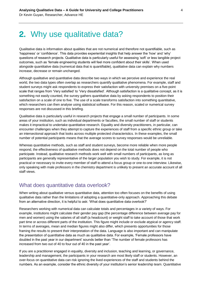### 2. Why use qualitative data?

Qualitative data is information about qualities that are not numerical and therefore not quantifiable, such as 'happiness' or 'confidence'. This data provides experiential insights that help answer the 'how' and 'why' questions of research projects. Qualitative data is particularly useful for assessing 'soft' or less tangible project outcomes, such as 'female engineering students will feel more confident about their skills'. When used alongside quantitative data (numerical data that is quantifiable), qualitative data can explain why numbers increase, decrease or remain unchanged.

Although qualitative and quantitative data describe two ways in which we perceive and experience the real world, the two data types often overlap as researchers quantify qualitative phenomena. For example, staff and student surveys might ask respondents to express their satisfaction with university premises on a five-point scale that ranges from 'Very satisfied' to 'Very dissatisfied'. Although satisfaction is a qualitative concept, as it is something not easily counted, the survey gathers quantitative data by asking respondents to position their satisfaction on a scale of one to five. The use of a scale transforms satisfaction into something quantitative, which researchers can then analyse using statistical software. For this reason, scaled or numerical survey responses are not discussed in this briefing.

Qualitative data is particularly useful in research projects that engage a small number of participants. In some areas of your institution, such as individual departments or faculties, the small number of staff or students makes it impractical to undertake quantitative research. Equality and diversity practitioners, in particular, can encounter challenges when they attempt to capture the experiences of staff from a specific ethnic group or take an intersectional approach that looks across multiple protected characteristics. In these examples, the small number of potential participants means that the average scores to survey responses would be unreliable.

Whereas quantitative methods, such as staff and student surveys, become more reliable when more people respond, the effectiveness of qualitative methods does not depend on the total number of people who participate. Instead, qualitative research methods work well with small numbers of participants, as long as participants are generally representative of the larger population you wish to study. For example, it is not practical or necessary to invite every member of staff to attend a focus group or one-to-one interview. Likewise, only speaking with male professors in the chemistry department is unlikely to present an accurate account of all staff views.

#### What does quantitative data overlook?

When writing about qualitative versus quantitative data, attention too often focuses on the benefits of using qualitative data rather than the limitations of adopting a quantitative-only approach. Approaching this debate from an alternative direction, it is helpful to ask: 'What does quantitative data overlook?'

Researchers working with numerical data can calculate totals and percentages in a variety of ways. For example, institutions might calculate their gender pay gap (the percentage difference between average pay for men and women) using the salaries of all staff (a headcount) or weight staff to take account of those that work part time or across different parts of the institution. This figure might include or exclude atypical or agency staff. In terms of averages, mean and median figures might also differ, which presents opportunities for those framing the results to present their interpretation of the data. Language is also important and can manipulate the presentation of quantitative data as much as qualitative data. For example, 'Female professors have doubled in the past year in our department' sounds better than 'The number of female professors has increased from two out of 40 to four out of 40 in the past year'.

If you are a practitioner engaged in equality, diversity and inclusion, teaching and learning, or governance, leadership and management, the participants in your research are most likely staff or students. However, an over-focus on quantitative data can risk ignoring the lived experiences of the staff and students behind the numbers. As an example, consider the ethnic diversity of your institution's senior leadership team. Quantitative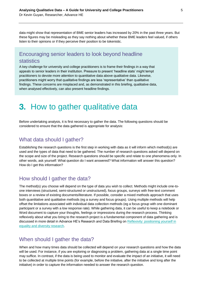data might show that representation of BME senior leaders has increased by 20% in the past three years. But these figures may be misleading as they say nothing about whether these BME leaders feel valued, if others listen to their opinions or if they perceive their position to be tokenistic.

### Encouraging senior leaders to look beyond headline statistics

A key challenge for university and college practitioners is to frame their findings in a way that appeals to senior leaders in their institution. Pressure to present 'headline stats' might tempt practitioners to devote more attention to quantitative data above qualitative data. Likewise, practitioners might worry that qualitative findings are less 'representative' than qualitative findings. These concerns are misplaced and, as demonstrated in this briefing, qualitative data, when analysed effectively, can also present headline findings.

### **3.** How to gather qualitative data

Before undertaking analysis, it is first necessary to gather the data. The following questions should be considered to ensure that the data gathered is appropriate for analysis:

### What data should I gather?

Establishing the research questions is the first step in working with data as it will inform which method(s) are used and the types of data that need to be gathered. The number of research questions asked will depend on the scope and size of the project. Research questions should be specific and relate to one phenomena only. In other words, ask yourself: What question do I want answered? What information will answer this question? How do I get this information?

#### How should I gather the data?

The method(s) you choose will depend on the type of data you wish to collect. Methods might include one-toone interviews (structured, semi-structured or unstructured), focus groups, surveys with free-text comment boxes or a review of existing documents/literature. If possible, consider a mixed methods approach that uses both quantitative and qualitative methods (eg a survey and focus groups). Using multiple methods will help offset the limitations associated with individual data collection methods (eg a focus group with one dominant participant or a survey with a low response rate). While gathering data, it can be useful to keep a notebook or Word document to capture your thoughts, feelings or impressions during the research process. Thinking reflexively about what you bring to the research project is a fundamental component of data gathering and is discussed in more detail in Advance HE's Research and Data Briefing on [Reflexivity: positioning yourself in](https://www.ecu.ac.uk/publications/reflexivity-positioning-yourself-in-equality-and-diversity-research/)  [equality and diversity research.](https://www.ecu.ac.uk/publications/reflexivity-positioning-yourself-in-equality-and-diversity-research/)

### When should I gather the data?

When and how many times data should be collected will depend on your research questions and how the data will be used. For instance, if you are exploring or diagnosing a problem, gathering data at a single time point may suffice. In contrast, if the data is being used to monitor and evaluate the impact of an initiative, it will need to be collected at multiple time points (for example, before the initiative, after the initiative and long after the initiative) in order to capture the information needed to answer the research question.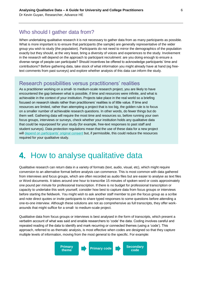### Who should I gather data from?

When undertaking qualitative research it is not necessary to gather data from as many participants as possible. What is more important is to ensure that participants (the sample) are generally representative of the wider group you wish to study (the population). Participants do not need to mirror the demographics of the population exactly but they should, at the very least, bring a diversity of voices and experiences to the study. Involvement in the research will depend on the approach to participant recruitment: are you doing enough to ensure a diverse range of people can participate? Should incentives be offered to acknowledge participants' time and contributions? Before gathering data, take stock of what information you might already have at hand (eg freetext comments from past surveys) and explore whether analysis of this data can inform the study.

#### Research possibilities versus practitioners' realities

As a practitioner working on a small- to medium-scale research project, you are likely to have encountered the gap between what is possible, if time and resources were infinite, and what is achievable in the context of your institution. Projects take place in the real world so a briefing focused on research ideals rather than practitioners' realities is of little value. If time and resources are limited, rather than attempting a project that is too big, the golden rule is to focus on a smaller number of achievable research questions. In other words, do fewer things but do them well. Gathering data will require the most time and resources so, before running your own focus groups, interviews or surveys, check whether your institution holds any qualitative data that could be repurposed for your study (for example, free-text responses to past staff and student surveys). Data protection regulations mean that the use of these data for a new project will [depend on participants' original consent](https://www.ecu.ac.uk/publications/data-protection-anonymity-considerations-equality-research-data/) but, if permissible, this could reduce the resources required for your qualitative study.

### 4. How to analyse qualitative data

Qualitative research can return data in a variety of formats (text, audio, visual, etc), which might require conversion to an alternative format before analysis can commence. This is most common with data gathered from interviews and focus groups, which are often recorded as audio files but are easier to analyse as text files or Word documents. It takes around one hour to transcribe 15 minutes of spoken word or costs approximately one pound per minute for professional transcription. If there is no budget for professional transcription or capacity to undertake this work yourself, consider how best to capture data from focus groups or interviews before starting the fieldwork. You might wish to ask another staff member to join the focus group as a scribe and note direct quotes or invite participants to share typed responses to some questions before attending a one-to-one interview. Although these solutions are not as comprehensive as full transcripts, they offer workarounds that might suffice for a small- to medium-scale project.

Qualitative data from focus groups or interviews is best analysed in the form of transcripts, which present a verbatim account of what was said and enable researchers to 'code' the data. Coding involves careful and repeated reading of the data to identify and mark recurring or connected themes (using a 'code'). This approach, referred to as thematic analysis, is most effective when codes are designed so that they capture multiple levels of information, moving from the most general to the specific. For example:

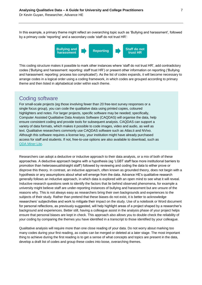In this example, a primary theme might reflect an overarching topic such as 'Bullying and harassment', followed by a primary code 'reporting' and a secondary code 'staff do not trust HR':



This coding structure makes it possible to mark other instances where 'staff do not trust HR', add contradictory codes ('Bullying and harassment: reporting: staff trust HR') or present other information on reporting ('Bullying and harassment: reporting: process too complicated'). As the list of codes expands, it will become necessary to arrange codes in a logical order using a coding framework, in which codes are grouped according to primary theme and then listed in alphabetical order within each theme.

#### Coding software

For small-scale projects (eg those involving fewer than 20 free-text survey responses or a single focus group), you can code the qualitative data using printed copies, coloured highlighters and notes. For larger projects, specific software may be needed; specifically, Computer Assisted Qualitative Data Analysis Software (CAQDAS) will organise the data, help ensure consistent coding and provide tools for subsequent analysis. CAQDAS can support a variety of data formats, which makes it possible to code images, video and audio, as well as text. Qualitative researchers commonly use CAQDAS software such as Atlas.ti and NVivo. Although this software requires a license key, your institution might have already purchased access for staff and students. If not, free-to-use options are also available to download, such as [QDA Miner Lite.](https://provalisresearch.com/products/qualitative-data-analysis-software/freeware/)

Researchers can adopt a deductive or inductive approach to their data analysis, or a mix of both of these approaches. A deductive approach begins with a hypothesis (eg 'LGBT staff face more institutional barriers to promotion than heterosexual/straight staff') followed by reviewing and coding the data to either prove or disprove this theory. In contrast, an inductive approach, often known as grounded theory, does not begin with a hypothesis or any assumptions about what will emerge from the data. Advance HE's qualitative research generally follows an inductive approach, in which data is explored with an open mind to see what it will reveal. Inductive research questions seek to identify the factors that lie behind observed phenomena, for example a university might believe staff are under-reporting instances of bullying and harassment but are unsure of the reasons why. This is not always easy as researchers bring their own backgrounds and experiences to the subjects of their study. Rather than pretend that these biases do not exist, it is better to acknowledge researchers' subjectivities and work to mitigate their impact on the study. Use of a notebook or Word document for personal reflections, as previously suggested, will help highlight areas of a project shaped by a researcher's background and experiences. Better still, having a colleague assist in the analysis phase of your project helps ensure that personal biases are kept in check. This approach also allows you to double check the reliability of your coding by comparing the themes you have identified in a transcript to those identified by your colleague.

Qualitative analysis will require more than one close reading of your data. Do not worry about marking too many codes during your first reading, as codes can be merged or deleted at a later stage. The most important thing to achieve during the first reading is to get a sense of what concepts and topics are present in the data, develop a draft list of codes and group these codes into loose, overarching themes.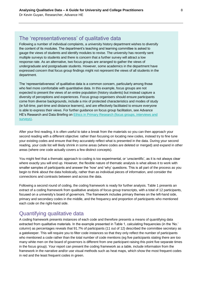### The 'representativeness' of qualitative data

Following a number of individual complaints, a university history department wishes to diversify the content of its modules. The department's teaching and learning committee is asked to gauge the views of students and identify modules to revise. The university has recently sent multiple surveys to students and there is concern that a further survey will attract a low response rate. As an alternative, two focus groups are arranged to gather the views of undergraduate and postgraduate students. However, some academics in the department have expressed concern that focus group findings might not represent the views of all students in the department.

The 'representativeness' of qualitative data is a common concern, particularly among those who feel more comfortable with quantitative data. In this example, focus groups are not expected to present the views of an entire population (history students) but instead capture a diversity of perceptions and experiences. Focus group organisers should ensure participants come from diverse backgrounds, include a mix of protected characteristics and modes of study (ie full-time, part-time and distance learners), and are effectively facilitated to ensure everyone is able to express their views. For further guidance on focus group facilitation, see Advance HE's Research and Data Briefing on [Ethics in Primary Research \(focus groups, interviews and](https://www.ecu.ac.uk/publications/ethics-in-primary-research-focus-groups-interviews-and-surveys/)  [surveys\).](https://www.ecu.ac.uk/publications/ethics-in-primary-research-focus-groups-interviews-and-surveys/)

After your first reading, it is often useful to take a break from the materials so you can then approach your second reading with a different objective: rather than focusing on locating new codes, instead try to fine tune your existing codes and ensure that they accurately reflect what is presented in the data. During your second reading, your code list will likely shrink in some areas (where codes are deleted or merged) and expand in other areas (where one code actually covers a few distinct concepts).

You might feel that a thematic approach to coding is too experimental, or 'unscientific', as it is not always clear where exactly you will end up. However, the flexible nature of thematic analysis is what allows it to work with smaller samples of participants and answer the 'how' and 'why' questions. This is all part of the process as you begin to think about the data holistically, rather than as individual pieces of information, and consider the connections and contrasts between and across the data.

Following a second round of coding, the coding framework is ready for further analysis. Table 1 presents an extract of a coding framework from qualitative analysis of focus group transcripts, with a total of 12 participants, focused on a university's board of governors. The framework includes primary themes on the left-hand side, primary and secondary codes in the middle, and the frequency and proportion of participants who mentioned each code on the right-hand side.

### Quantifying qualitative data

A coding framework presents instances of each code and therefore presents a means of quantifying data extracted from qualitative materials. In the example presented in Table 1, calculating frequencies (in the 'No.' column) as percentages reveals that 91.7% of participants (11 out of 12) described the committee secretary as a gatekeeper. This will require you to filter code instances so that they only reflect the number of participants who mentioned a code rather than the total number of code mentions (eg five participants stating there are too many white men on the board of governors is different from one participant raising this point five separate times in the focus group). Your report can present the coding framework as a table, include information from the framework in the narrative and/or use visual methods such as heat maps, which show the most frequent codes in red and the least frequent codes in green.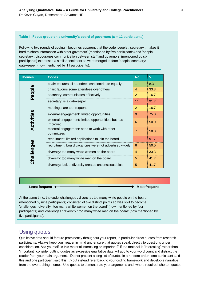#### **Table 1. Focus group on a university's board of governors (***n* **= 12 participants)**

Following two rounds of coding it becomes apparent that the code 'people : secretary : makes it hard to share information with other governors' (mentioned by five participants) and 'people : secretary : discourages communication between staff and governors' (mentioned by six participants) expressed a similar sentiment so were merged to form 'people: secretary: gatekeeper' (now mentioned by 11 participants).

| <b>Themes</b> | <b>Codes</b>                                                    | No.            | $\%$ |
|---------------|-----------------------------------------------------------------|----------------|------|
|               | chair: ensures all attendees can contribute equally             |                | 8.3  |
|               | chair: favours some attendees over others                       | $\overline{4}$ | 33.3 |
| People        | secretary: communicates effectively                             | 2              | 16.7 |
|               | secretary: is a gatekeeper                                      | 11             | 91.7 |
|               | meetings: are too frequent                                      | $\overline{2}$ | 16.7 |
|               | external engagement: limited opportunities                      | 9              | 75.0 |
| Activities    | external engagement: limited opportunities: but has<br>improved | 6              | 50.0 |
|               | external engagement: need to work with other<br>committees      | $\overline{7}$ | 58.3 |
|               | recruitment: limited applications to join the board             | 11             | 91.7 |
|               | recruitment: board vacancies were not advertised widely         | 6              | 50.0 |
|               | diversity: too many white women on the board                    | 4              | 33.3 |
| Challenges    | diversity: too many white men on the board                      | 5              | 41.7 |
|               | diversity: lack of diversity creates unconscious bias           | 5              | 41.7 |

**Least frequent**  $\leftarrow$ 

At the same time, the code 'challenges : diversity : too many white people on the board' (mentioned by nine participants) consisted of two distinct points so was split to become 'challenges : diversity : too many white women on the board' (now mentioned by four participants) and 'challenges : diversity : too many white men on the board' (now mentioned by five participants).

#### Using quotes

Qualitative data should feature prominently throughout your report, in particular direct quotes from research participants. Always keep your reader in mind and ensure that quotes speak directly to questions under consideration. Ask yourself 'Is this material interesting or important?' If the material is 'interesting' rather than 'important', consider cutting quotes as excessive qualitative data will add to your word count and distract the reader from your main arguments. Do not present a long list of quotes in a random order ('one participant said this and one participant said this…') but instead refer back to your coding framework and develop a narrative from the overarching themes. Use quotes to demonstrate your arguments and, where required, shorten quotes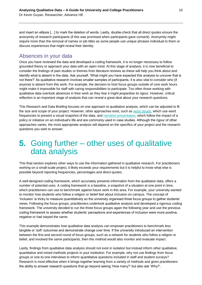and insert an ellipsis […] to mark the deletion of words. Lastly, double-check that all direct quotes ensure the anonymity of research participants (if this was promised when participants gave consent). Anonymity might require more than the removal of names or job titles as some people use unique phrases individual to them or discuss experiences that might reveal their identity.

### Absences in your data

Once you have reviewed the data and developed a coding framework, it is no longer necessary to follow grounded theory or approach your data with an open mind. At this stage of analysis, it is now beneficial to consider the findings of past studies or themes from literature reviews as these will help you think about and identify what is absent in the data. Ask yourself, 'What might you have expected this analysis to uncover that is not there?' As qualitative research involves smaller samples of participants, it is also vital to consider who (if anyone) is absent from this work. For example, the decision to host focus groups outside of core work hours might make it impossible for staff with caring responsibilities to participate. Too often those working with qualitative data overlook absences in their work as they fear it might jeopardise its rigour. However, critical reflection is an important stage of analysis that can reveal a great deal about your research questions.

This Research and Data Briefing focuses on one approach to qualitative analysis, which can be adjusted to fit the size and scope of your project. However, other approaches exist, such as [word clouds,](https://www.betterevaluation.org/en/evaluation-options/wordcloud) which use word frequencies to present a visual snapshot of the data, and [narrative presentation,](http://www.evaluationsupportscotland.org.uk/resources/134/) which follow the impact of a policy or initiative on an individual's life and are commonly used in case studies. Although the rigour of other approaches varies, the most appropriate analysis will depend on the specifics of your project and the research questions you wish to answer.

### **5.** Going further – other uses of qualitative data analysis

This final section explores other ways to use the information gathered in qualitative research. For practitioners working on a small-scale project, it likely exceeds your requirements but it is helpful to know what else is possible beyond reporting frequencies, percentages and direct quotes.

A well-designed coding framework, which accurately presents information from the qualitative data, offers a number of potential uses. A coding framework is a baseline, a snapshot of a situation at one point in time, which practitioners can use to benchmark against future work in this area. For example, your university wanted to monitor how students who follow a religion or belief feel about inclusion on campus. The concept of 'inclusion' is tricky to measure quantitatively so the university organised three focus groups to gather students' views. Following the focus groups, practitioners undertook qualitative analysis and developed a rigorous coding framework. The university decided to run the three focus groups again the following year and use the previous coding framework to assess whether students' perceptions and experiences of inclusion were more positive, negative or had stayed the same.

This example demonstrates how qualitative data analysis can empower practitioners to benchmark less tangible or 'soft' outcomes and demonstrate change over time. If the university introduced an intervention between the first and second round of focus groups, such as a network for students who follow a religion or belief, and involved the same participants, then this method would also monitor and evaluate impact.

Lastly, findings from qualitative data analysis should not exist in isolation but instead inform other qualitative, quantitative and mixed methods projects in your institution. For example, why not use findings from focus groups or one-to-one interviews to inform quantitative questions included in staff and student surveys? Research is most effective when it brings together learning from a variety of methods and gives practitioners the ability to answer research questions that go beyond asking 'How many?' but also ask 'Why?'.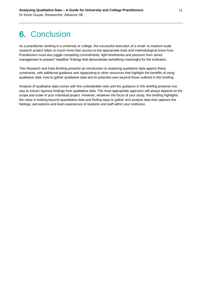## **6. Conclusion**

As a practitioner working in a university or college, the successful execution of a small- to medium-scale research project relies on much more than access to the appropriate tools and methodological know-how. Practitioners must also juggle competing commitments, tight timeframes and pressure from senior management to present 'headline' findings that demonstrate something meaningful for the institution.

This Research and Data Briefing presents an introduction to analysing qualitative data against these constraints, with additional guidance and signposting to other resources that highlight the benefits of using qualitative data, how to gather qualitative data and its potential uses beyond those outlined in this briefing.

Analysis of qualitative data comes with few unbreakable rules and the guidance in this briefing presents one way to extract rigorous findings from qualitative data. The most appropriate approach will always depend on the scope and scale of your individual project. However, whatever the focus of your study, this briefing highlights the value in looking beyond quantitative data and finding ways to gather and analyse data that captures the feelings, perceptions and lived experiences of students and staff within your institution.